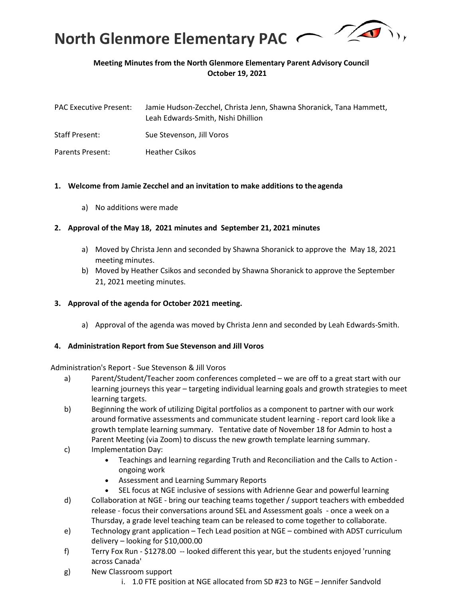

# **Meeting Minutes from the North Glenmore Elementary Parent Advisory Council October 19, 2021**

| <b>PAC Executive Present:</b> | Jamie Hudson-Zecchel, Christa Jenn, Shawna Shoranick, Tana Hammett,<br>Leah Edwards-Smith, Nishi Dhillion |
|-------------------------------|-----------------------------------------------------------------------------------------------------------|
| <b>Staff Present:</b>         | Sue Stevenson, Jill Voros                                                                                 |
| Parents Present:              | <b>Heather Csikos</b>                                                                                     |

### **1. Welcome from Jamie Zecchel and an invitation to make additions to the agenda**

a) No additions were made

### **2. Approval of the May 18, 2021 minutes and September 21, 2021 minutes**

- a) Moved by Christa Jenn and seconded by Shawna Shoranick to approve the May 18, 2021 meeting minutes.
- b) Moved by Heather Csikos and seconded by Shawna Shoranick to approve the September 21, 2021 meeting minutes.

#### **3. Approval of the agenda for October 2021 meeting.**

a) Approval of the agenda was moved by Christa Jenn and seconded by Leah Edwards-Smith.

#### **4. Administration Report from Sue Stevenson and Jill Voros**

Administration's Report - Sue Stevenson & Jill Voros

- a) Parent/Student/Teacher zoom conferences completed we are off to a great start with our learning journeys this year – targeting individual learning goals and growth strategies to meet learning targets.
- b) Beginning the work of utilizing Digital portfolios as a component to partner with our work around formative assessments and communicate student learning - report card look like a growth template learning summary. Tentative date of November 18 for Admin to host a Parent Meeting (via Zoom) to discuss the new growth template learning summary.
- c) Implementation Day:
	- Teachings and learning regarding Truth and Reconciliation and the Calls to Action ongoing work
	- Assessment and Learning Summary Reports
	- SEL focus at NGE inclusive of sessions with Adrienne Gear and powerful learning
- d) Collaboration at NGE bring our teaching teams together / support teachers with embedded release - focus their conversations around SEL and Assessment goals - once a week on a Thursday, a grade level teaching team can be released to come together to collaborate.
- e) Technology grant application Tech Lead position at NGE combined with ADST curriculum delivery – looking for \$10,000.00
- f) Terry Fox Run \$1278.00 -- looked different this year, but the students enjoyed 'running across Canada'
- g) New Classroom support
	- i. 1.0 FTE position at NGE allocated from SD #23 to NGE Jennifer Sandvold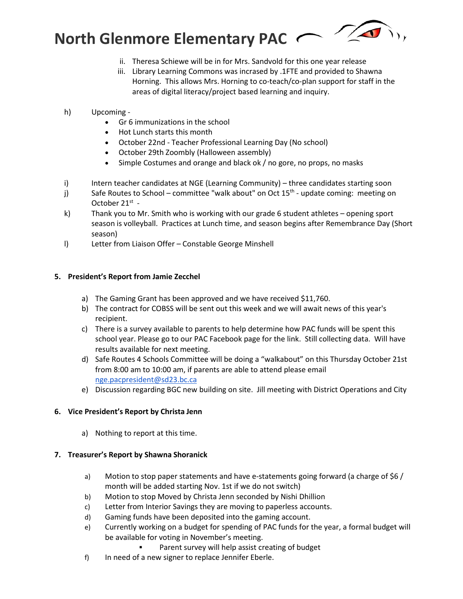

- ii. Theresa Schiewe will be in for Mrs. Sandvold for this one year release
- iii. Library Learning Commons was incrased by .1FTE and provided to Shawna Horning. This allows Mrs. Horning to co-teach/co-plan support for staff in the areas of digital literacy/project based learning and inquiry.
- h) Upcoming
	- Gr 6 immunizations in the school
	- Hot Lunch starts this month
	- October 22nd Teacher Professional Learning Day (No school)
	- October 29th Zoombly (Halloween assembly)
	- Simple Costumes and orange and black ok / no gore, no props, no masks
- i) Intern teacher candidates at NGE (Learning Community) three candidates starting soon
- j) Safe Routes to School committee "walk about" on Oct  $15<sup>th</sup>$  update coming: meeting on October 21st -
- k) Thank you to Mr. Smith who is working with our grade 6 student athletes opening sport season is volleyball. Practices at Lunch time, and season begins after Remembrance Day (Short season)
- l) Letter from Liaison Offer Constable George Minshell

## **5. President's Report from Jamie Zecchel**

- a) The Gaming Grant has been approved and we have received \$11,760.
- b) The contract for COBSS will be sent out this week and we will await news of this year's recipient.
- c) There is a survey available to parents to help determine how PAC funds will be spent this school year. Please go to our PAC Facebook page for the link. Still collecting data. Will have results available for next meeting.
- d) Safe Routes 4 Schools Committee will be doing a "walkabout" on this Thursday October 21st from 8:00 am to 10:00 am, if parents are able to attend please email [nge.pacpresident@sd23.bc.ca](mailto:nge.pacpresident@sd23.bc.ca)
- e) Discussion regarding BGC new building on site. Jill meeting with District Operations and City

## **6. Vice President's Report by Christa Jenn**

a) Nothing to report at this time.

## **7. Treasurer's Report by Shawna Shoranick**

- a) Motion to stop paper statements and have e-statements going forward (a charge of \$6 / month will be added starting Nov. 1st if we do not switch)
- b) Motion to stop Moved by Christa Jenn seconded by Nishi Dhillion
- c) Letter from Interior Savings they are moving to paperless accounts.
- d) Gaming funds have been deposited into the gaming account.
- e) Currently working on a budget for spending of PAC funds for the year, a formal budget will be available for voting in November's meeting.
	- Parent survey will help assist creating of budget
- f) In need of a new signer to replace Jennifer Eberle.